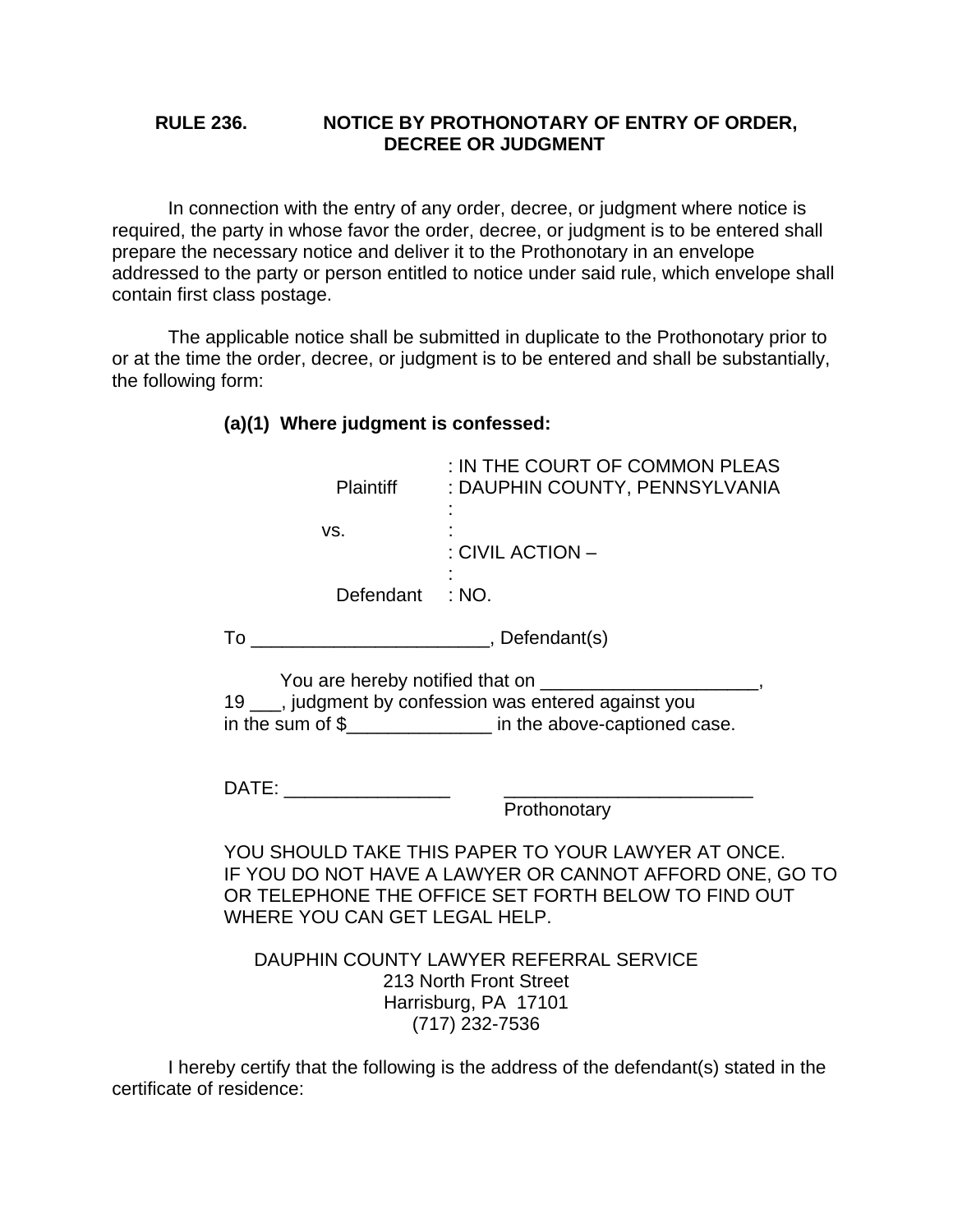## **RULE 236. NOTICE BY PROTHONOTARY OF ENTRY OF ORDER, DECREE OR JUDGMENT**

 In connection with the entry of any order, decree, or judgment where notice is required, the party in whose favor the order, decree, or judgment is to be entered shall prepare the necessary notice and deliver it to the Prothonotary in an envelope addressed to the party or person entitled to notice under said rule, which envelope shall contain first class postage.

 The applicable notice shall be submitted in duplicate to the Prothonotary prior to or at the time the order, decree, or judgment is to be entered and shall be substantially, the following form:

## **(a)(1) Where judgment is confessed:**

| Plaintiff                                                                                                                                                                                             | : IN THE COURT OF COMMON PLEAS<br>: DAUPHIN COUNTY, PENNSYLVANIA |
|-------------------------------------------------------------------------------------------------------------------------------------------------------------------------------------------------------|------------------------------------------------------------------|
| VS.                                                                                                                                                                                                   | : CIVIL ACTION -                                                 |
| Defendant : NO.                                                                                                                                                                                       |                                                                  |
|                                                                                                                                                                                                       |                                                                  |
| You are hereby notified that on ____________<br>19 ___, judgment by confession was entered against you<br>in the sum of $\frac{1}{2}$ in the above-captioned case.                                    |                                                                  |
| DATE: __________________                                                                                                                                                                              | Prothonotary                                                     |
| YOU SHOULD TAKE THIS PAPER TO YOUR LAWYER AT ONCE.<br>IF YOU DO NOT HAVE A LAWYER OR CANNOT AFFORD ONE, GO TO<br>OR TELEPHONE THE OFFICE SET FORTH BELOW TO FIND OUT<br>WHERE YOU CAN GET LEGAL HELP. |                                                                  |
| DAUPHIN COUNTY LAWYER REFERRAL SERVICE<br>213 North Front Street<br>Harrisburg, PA 17101<br>(717) 232-7536                                                                                            |                                                                  |

 I hereby certify that the following is the address of the defendant(s) stated in the certificate of residence: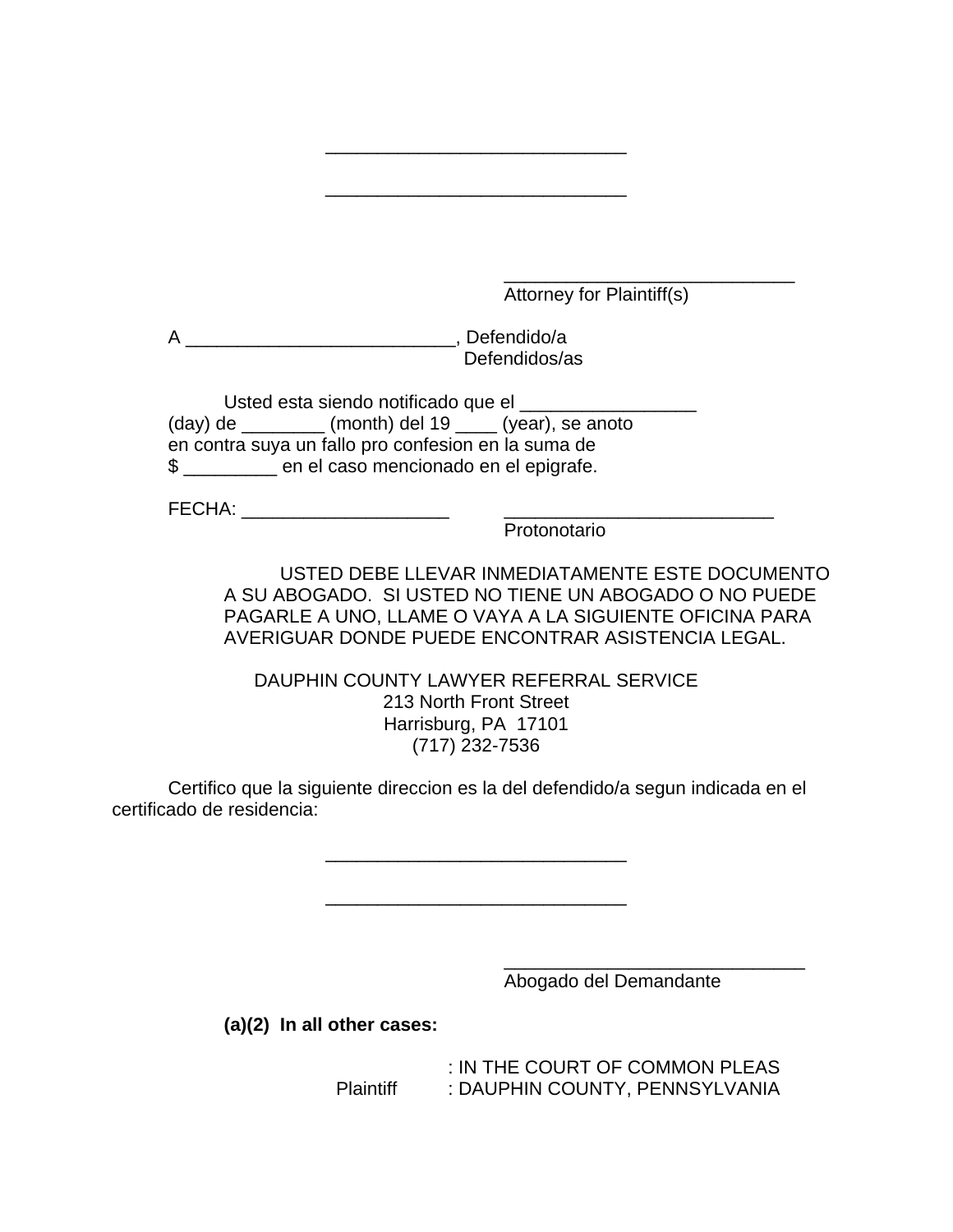$\overline{\phantom{a}}$  , and the contract of the contract of the contract of the contract of the contract of the contract of the contract of the contract of the contract of the contract of the contract of the contract of the contrac Attorney for Plaintiff(s)

 A \_\_\_\_\_\_\_\_\_\_\_\_\_\_\_\_\_\_\_\_\_\_\_\_\_\_, Defendido/a Defendidos/as

Usted esta siendo notificado que el \_\_\_\_\_\_\_\_\_\_\_  $(\text{day})$  de  $\_\_\_\_\_\_\_\$  (month) del 19  $\_\_\_\_\_\_\$  (year), se anoto en contra suya un fallo pro confesion en la suma de \$ \_\_\_\_\_\_\_\_\_ en el caso mencionado en el epigrafe.

FECHA: \_\_\_\_\_\_\_\_\_\_\_\_\_\_\_\_\_\_\_\_ \_\_\_\_\_\_\_\_\_\_\_\_\_\_\_\_\_\_\_\_\_\_\_\_\_\_

Protonotario

 USTED DEBE LLEVAR INMEDIATAMENTE ESTE DOCUMENTO A SU ABOGADO. SI USTED NO TIENE UN ABOGADO O NO PUEDE PAGARLE A UNO, LLAME O VAYA A LA SIGUIENTE OFICINA PARA AVERIGUAR DONDE PUEDE ENCONTRAR ASISTENCIA LEGAL.

DAUPHIN COUNTY LAWYER REFERRAL SERVICE 213 North Front Street Harrisburg, PA 17101 (717) 232-7536

\_\_\_\_\_\_\_\_\_\_\_\_\_\_\_\_\_\_\_\_\_\_\_\_\_\_\_\_\_

\_\_\_\_\_\_\_\_\_\_\_\_\_\_\_\_\_\_\_\_\_\_\_\_\_\_\_\_\_

 Certifico que la siguiente direccion es la del defendido/a segun indicada en el certificado de residencia:

\_\_\_\_\_\_\_\_\_\_\_\_\_\_\_\_\_\_\_\_\_\_\_\_\_\_\_\_\_

\_\_\_\_\_\_\_\_\_\_\_\_\_\_\_\_\_\_\_\_\_\_\_\_\_\_\_\_\_

 $\overline{\phantom{a}}$  , and the contract of the contract of the contract of the contract of the contract of the contract of the contract of the contract of the contract of the contract of the contract of the contract of the contrac

Abogado del Demandante

**(a)(2) In all other cases:** 

IN THE COURT OF COMMON PLEAS:<br>DAUPHIN COUNTY, PENNSYLVANIA **: DAUPHIN COUNTY, PENNSYLVANIA**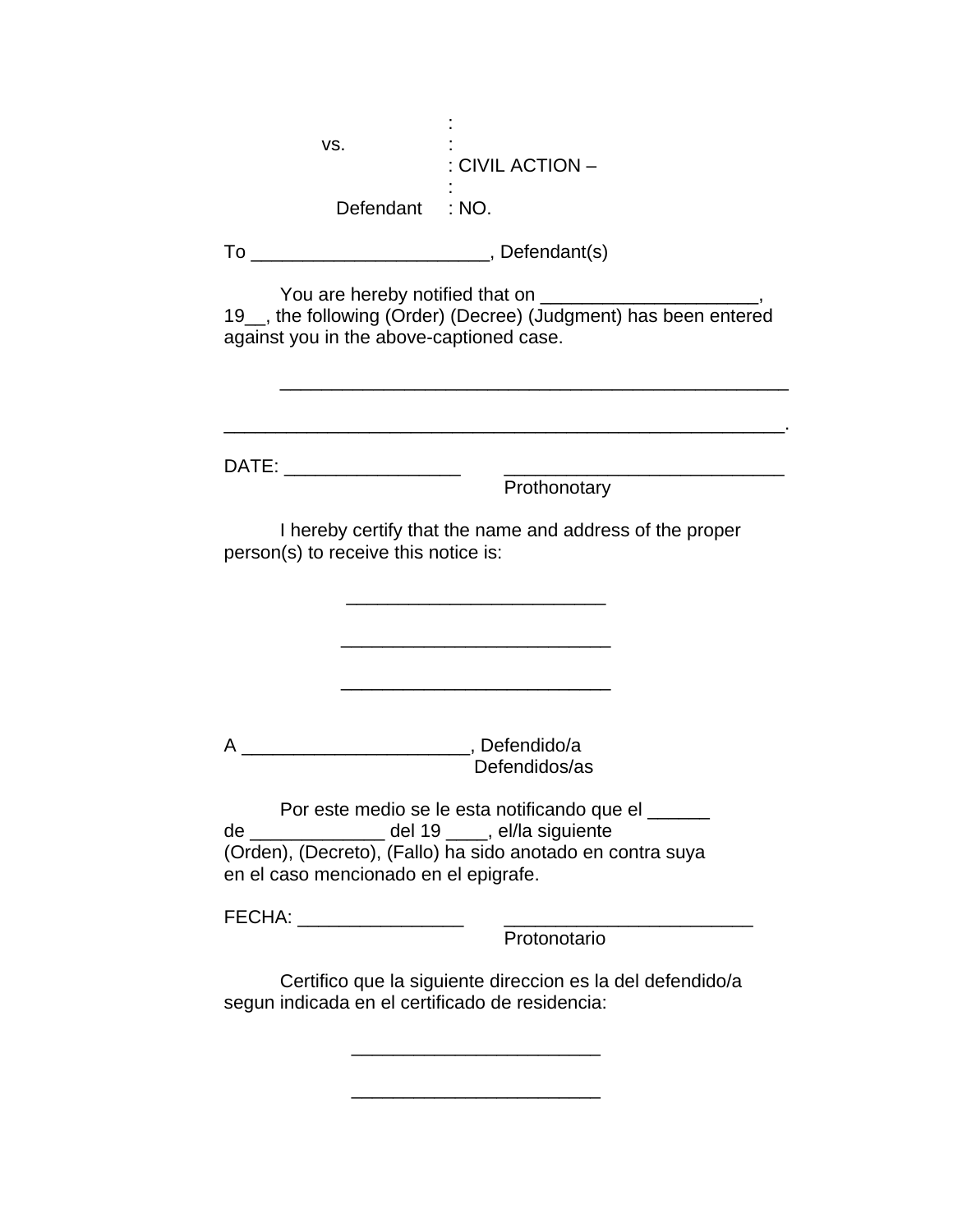| VS.<br>: CIVIL ACTION –                                                                                                                                                                                        |  |
|----------------------------------------------------------------------------------------------------------------------------------------------------------------------------------------------------------------|--|
| Defendant : NO.                                                                                                                                                                                                |  |
|                                                                                                                                                                                                                |  |
| 19_, the following (Order) (Decree) (Judgment) has been entered<br>against you in the above-captioned case.                                                                                                    |  |
|                                                                                                                                                                                                                |  |
| DATE: _____________________                                                                                                                                                                                    |  |
| Prothonotary                                                                                                                                                                                                   |  |
| I hereby certify that the name and address of the proper<br>person(s) to receive this notice is:                                                                                                               |  |
|                                                                                                                                                                                                                |  |
|                                                                                                                                                                                                                |  |
|                                                                                                                                                                                                                |  |
|                                                                                                                                                                                                                |  |
| _________________________________, Defendido/a<br>A<br>Defendidos/as                                                                                                                                           |  |
| Por este medio se le esta notificando que el ______<br>de ________________ del 19 ____, el/la siguiente<br>(Orden), (Decreto), (Fallo) ha sido anotado en contra suya<br>en el caso mencionado en el epigrafe. |  |
| FECHA: __________________                                                                                                                                                                                      |  |
| Protonotario                                                                                                                                                                                                   |  |
| Certifico que la siguiente direccion es la del defendido/a<br>segun indicada en el certificado de residencia:                                                                                                  |  |